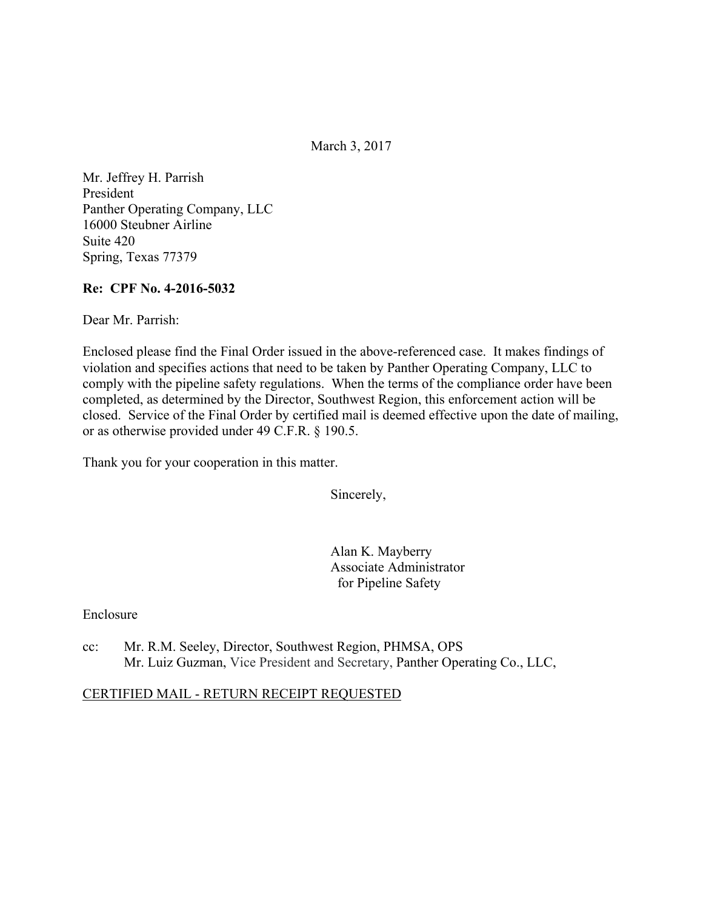March 3, 2017

Mr. Jeffrey H. Parrish President Panther Operating Company, LLC 16000 Steubner Airline Suite 420 Spring, Texas 77379

#### **Re: CPF No. 4-2016-5032**

Dear Mr. Parrish:

Enclosed please find the Final Order issued in the above-referenced case. It makes findings of violation and specifies actions that need to be taken by Panther Operating Company, LLC to comply with the pipeline safety regulations. When the terms of the compliance order have been completed, as determined by the Director, Southwest Region, this enforcement action will be closed. Service of the Final Order by certified mail is deemed effective upon the date of mailing, or as otherwise provided under 49 C.F.R. § 190.5.

Thank you for your cooperation in this matter.

Sincerely,

Alan K. Mayberry Associate Administrator for Pipeline Safety

Enclosure

cc: Mr. R.M. Seeley, Director, Southwest Region, PHMSA, OPS Mr. Luiz Guzman, Vice President and Secretary, Panther Operating Co., LLC,

#### CERTIFIED MAIL - RETURN RECEIPT REQUESTED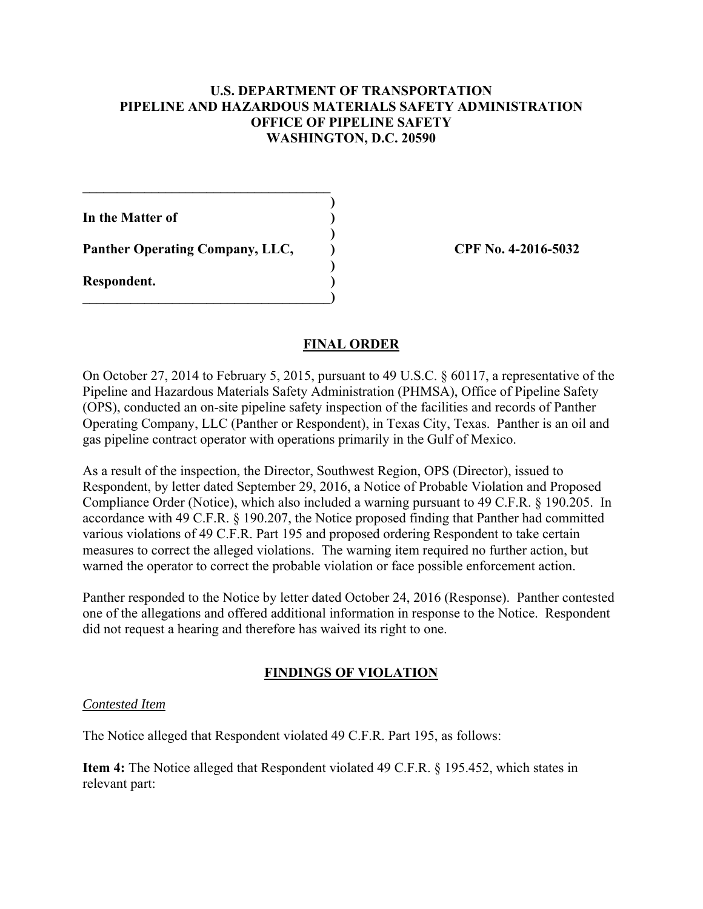#### **U.S. DEPARTMENT OF TRANSPORTATION PIPELINE AND HAZARDOUS MATERIALS SAFETY ADMINISTRATION OFFICE OF PIPELINE SAFETY WASHINGTON, D.C. 20590**

**In the Matter of )** 

Panther Operating Company, LLC,  $\qquad \qquad$  CPF No. 4-2016-5032

 $\mathcal{L}=\{1,2,3,4,5\}$  **)** 

 **)** 

 **)** 

**\_\_\_\_\_\_\_\_\_\_\_\_\_\_\_\_\_\_\_\_\_\_\_\_\_\_\_\_\_\_\_\_\_\_\_\_)** 

**Respondent. )** 

# **FINAL ORDER**

On October 27, 2014 to February 5, 2015, pursuant to 49 U.S.C. § 60117, a representative of the Pipeline and Hazardous Materials Safety Administration (PHMSA), Office of Pipeline Safety (OPS), conducted an on-site pipeline safety inspection of the facilities and records of Panther Operating Company, LLC (Panther or Respondent), in Texas City, Texas. Panther is an oil and gas pipeline contract operator with operations primarily in the Gulf of Mexico.

As a result of the inspection, the Director, Southwest Region, OPS (Director), issued to Respondent, by letter dated September 29, 2016, a Notice of Probable Violation and Proposed Compliance Order (Notice), which also included a warning pursuant to 49 C.F.R. § 190.205. In accordance with 49 C.F.R. § 190.207, the Notice proposed finding that Panther had committed various violations of 49 C.F.R. Part 195 and proposed ordering Respondent to take certain measures to correct the alleged violations. The warning item required no further action, but warned the operator to correct the probable violation or face possible enforcement action.

Panther responded to the Notice by letter dated October 24, 2016 (Response). Panther contested one of the allegations and offered additional information in response to the Notice. Respondent did not request a hearing and therefore has waived its right to one.

# **FINDINGS OF VIOLATION**

#### *Contested Item*

The Notice alleged that Respondent violated 49 C.F.R. Part 195, as follows:

**Item 4:** The Notice alleged that Respondent violated 49 C.F.R. § 195.452, which states in relevant part: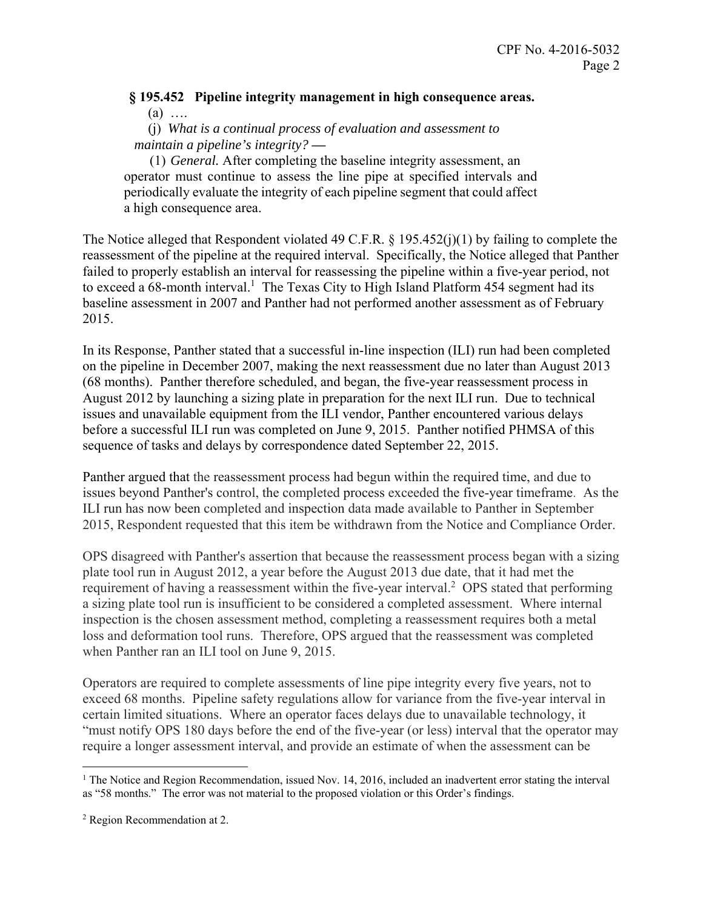### **§ 195.452 Pipeline integrity management in high consequence areas.**   $(a)$  …

 (j) *What is a continual process of evaluation and assessment to maintain a pipeline's integrity?* **—**

(1) *General.* After completing the baseline integrity assessment, an operator must continue to assess the line pipe at specified intervals and periodically evaluate the integrity of each pipeline segment that could affect a high consequence area.

The Notice alleged that Respondent violated 49 C.F.R. § 195.452(j)(1) by failing to complete the reassessment of the pipeline at the required interval. Specifically, the Notice alleged that Panther failed to properly establish an interval for reassessing the pipeline within a five-year period, not to exceed a 68-month interval.<sup>1</sup> The Texas City to High Island Platform 454 segment had its baseline assessment in 2007 and Panther had not performed another assessment as of February 2015.

In its Response, Panther stated that a successful in-line inspection (ILI) run had been completed on the pipeline in December 2007, making the next reassessment due no later than August 2013 (68 months). Panther therefore scheduled, and began, the five-year reassessment process in August 2012 by launching a sizing plate in preparation for the next ILI run. Due to technical issues and unavailable equipment from the ILI vendor, Panther encountered various delays before a successful ILI run was completed on June 9, 2015. Panther notified PHMSA of this sequence of tasks and delays by correspondence dated September 22, 2015.

Panther argued that the reassessment process had begun within the required time, and due to issues beyond Panther's control, the completed process exceeded the five-year timeframe. As the ILI run has now been completed and inspection data made available to Panther in September 2015, Respondent requested that this item be withdrawn from the Notice and Compliance Order.

OPS disagreed with Panther's assertion that because the reassessment process began with a sizing plate tool run in August 2012, a year before the August 2013 due date, that it had met the requirement of having a reassessment within the five-year interval.<sup>2</sup> OPS stated that performing a sizing plate tool run is insufficient to be considered a completed assessment. Where internal inspection is the chosen assessment method, completing a reassessment requires both a metal loss and deformation tool runs. Therefore, OPS argued that the reassessment was completed when Panther ran an ILI tool on June 9, 2015.

Operators are required to complete assessments of line pipe integrity every five years, not to exceed 68 months. Pipeline safety regulations allow for variance from the five-year interval in certain limited situations. Where an operator faces delays due to unavailable technology, it "must notify OPS 180 days before the end of the five-year (or less) interval that the operator may require a longer assessment interval, and provide an estimate of when the assessment can be

 $\overline{a}$ 

<sup>&</sup>lt;sup>1</sup> The Notice and Region Recommendation, issued Nov. 14, 2016, included an inadvertent error stating the interval as "58 months." The error was not material to the proposed violation or this Order's findings.

<sup>&</sup>lt;sup>2</sup> Region Recommendation at 2.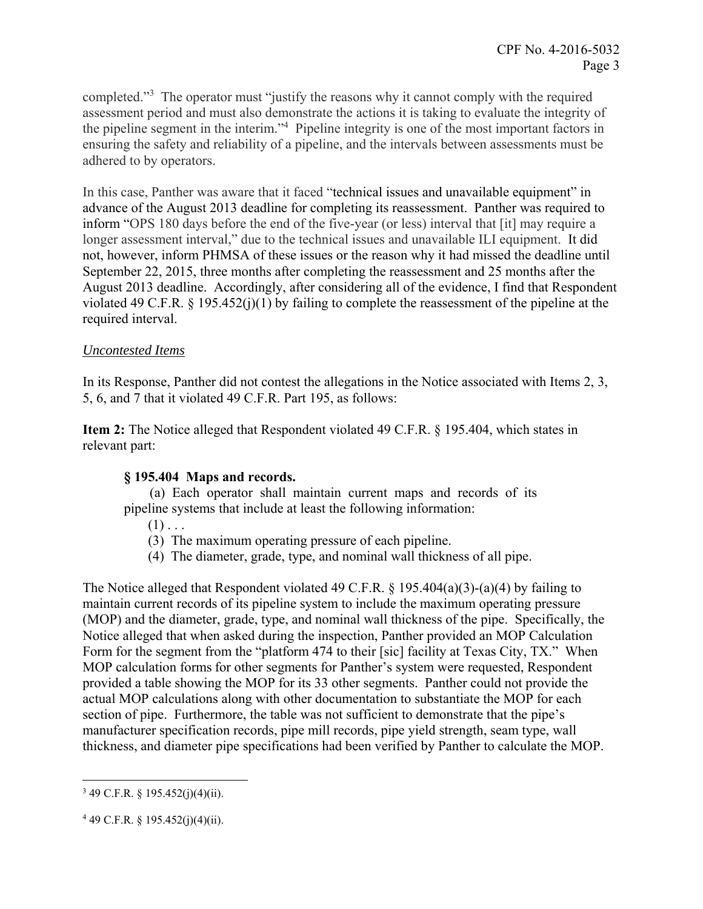completed."<sup>3</sup> The operator must "justify the reasons why it cannot comply with the required assessment period and must also demonstrate the actions it is taking to evaluate the integrity of the pipeline segment in the interim."<sup>4</sup> Pipeline integrity is one of the most important factors in ensuring the safety and reliability of a pipeline, and the intervals between assessments must be adhered to by operators.

In this case, Panther was aware that it faced "technical issues and unavailable equipment" in advance of the August 2013 deadline for completing its reassessment. Panther was required to inform "OPS 180 days before the end of the five-year (or less) interval that [it] may require a longer assessment interval," due to the technical issues and unavailable ILI equipment. It did not, however, inform PHMSA of these issues or the reason why it had missed the deadline until September 22, 2015, three months after completing the reassessment and 25 months after the August 2013 deadline. Accordingly, after considering all of the evidence, I find that Respondent violated 49 C.F.R. § 195.452(j)(1) by failing to complete the reassessment of the pipeline at the required interval.

# *Uncontested Items*

In its Response, Panther did not contest the allegations in the Notice associated with Items 2, 3, 5, 6, and 7 that it violated 49 C.F.R. Part 195, as follows:

**Item 2:** The Notice alleged that Respondent violated 49 C.F.R. § 195.404, which states in relevant part:

# **§ 195.404 Maps and records.**

(a) Each operator shall maintain current maps and records of its pipeline systems that include at least the following information:

- $(1)$ ...
- (3) The maximum operating pressure of each pipeline.
- (4) The diameter, grade, type, and nominal wall thickness of all pipe.

The Notice alleged that Respondent violated 49 C.F.R. § 195.404(a)(3)-(a)(4) by failing to maintain current records of its pipeline system to include the maximum operating pressure (MOP) and the diameter, grade, type, and nominal wall thickness of the pipe. Specifically, the Notice alleged that when asked during the inspection, Panther provided an MOP Calculation Form for the segment from the "platform 474 to their [sic] facility at Texas City, TX." When MOP calculation forms for other segments for Panther's system were requested, Respondent provided a table showing the MOP for its 33 other segments. Panther could not provide the actual MOP calculations along with other documentation to substantiate the MOP for each section of pipe. Furthermore, the table was not sufficient to demonstrate that the pipe's manufacturer specification records, pipe mill records, pipe yield strength, seam type, wall thickness, and diameter pipe specifications had been verified by Panther to calculate the MOP.

 $\overline{a}$ 

 $349$  C.F.R. § 195.452(j)(4)(ii).

 $449$  C.F.R. § 195.452(j)(4)(ii).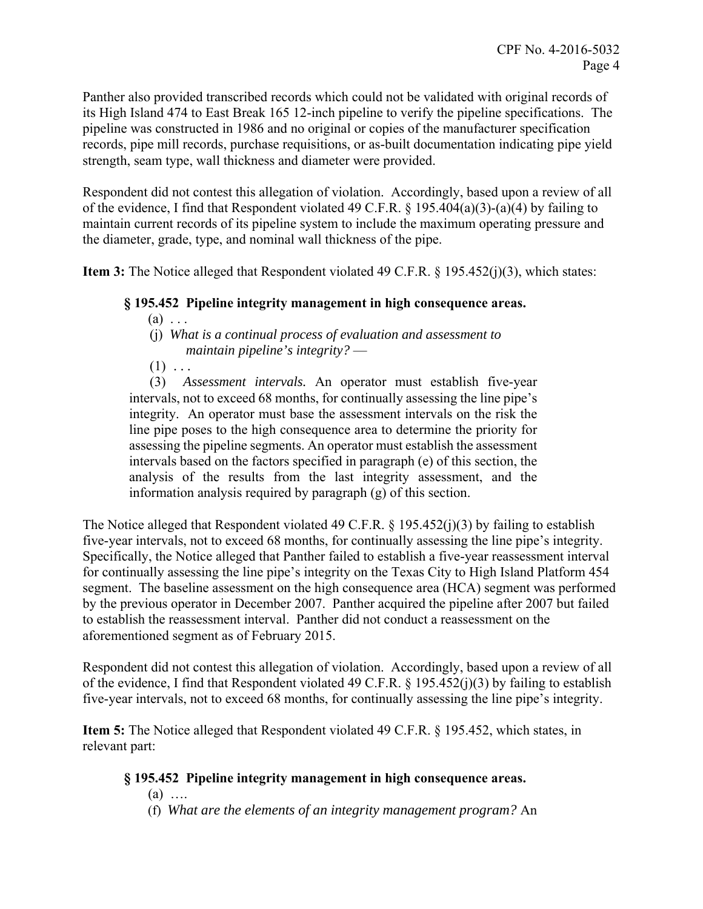Panther also provided transcribed records which could not be validated with original records of its High Island 474 to East Break 165 12-inch pipeline to verify the pipeline specifications. The pipeline was constructed in 1986 and no original or copies of the manufacturer specification records, pipe mill records, purchase requisitions, or as-built documentation indicating pipe yield strength, seam type, wall thickness and diameter were provided.

Respondent did not contest this allegation of violation. Accordingly, based upon a review of all of the evidence, I find that Respondent violated 49 C.F.R. § 195.404(a)(3)-(a)(4) by failing to maintain current records of its pipeline system to include the maximum operating pressure and the diameter, grade, type, and nominal wall thickness of the pipe.

**Item 3:** The Notice alleged that Respondent violated 49 C.F.R. § 195.452(j)(3), which states:

#### **§ 195.452 Pipeline integrity management in high consequence areas.**

- $(a) \ldots$
- (j) *What is a continual process of evaluation and assessment to maintain pipeline's integrity?* —
- $(1) \ldots$

(3) *Assessment intervals.* An operator must establish five-year intervals, not to exceed 68 months, for continually assessing the line pipe's integrity. An operator must base the assessment intervals on the risk the line pipe poses to the high consequence area to determine the priority for assessing the pipeline segments. An operator must establish the assessment intervals based on the factors specified in paragraph (e) of this section, the analysis of the results from the last integrity assessment, and the information analysis required by paragraph (g) of this section.

The Notice alleged that Respondent violated 49 C.F.R. § 195.452(j)(3) by failing to establish five-year intervals, not to exceed 68 months, for continually assessing the line pipe's integrity. Specifically, the Notice alleged that Panther failed to establish a five-year reassessment interval for continually assessing the line pipe's integrity on the Texas City to High Island Platform 454 segment. The baseline assessment on the high consequence area (HCA) segment was performed by the previous operator in December 2007. Panther acquired the pipeline after 2007 but failed to establish the reassessment interval. Panther did not conduct a reassessment on the aforementioned segment as of February 2015.

Respondent did not contest this allegation of violation. Accordingly, based upon a review of all of the evidence, I find that Respondent violated 49 C.F.R. § 195.452(j)(3) by failing to establish five-year intervals, not to exceed 68 months, for continually assessing the line pipe's integrity.

**Item 5:** The Notice alleged that Respondent violated 49 C.F.R. § 195.452, which states, in relevant part:

# **§ 195.452 Pipeline integrity management in high consequence areas.**

- (a) ….
- (f) *What are the elements of an integrity management program?* An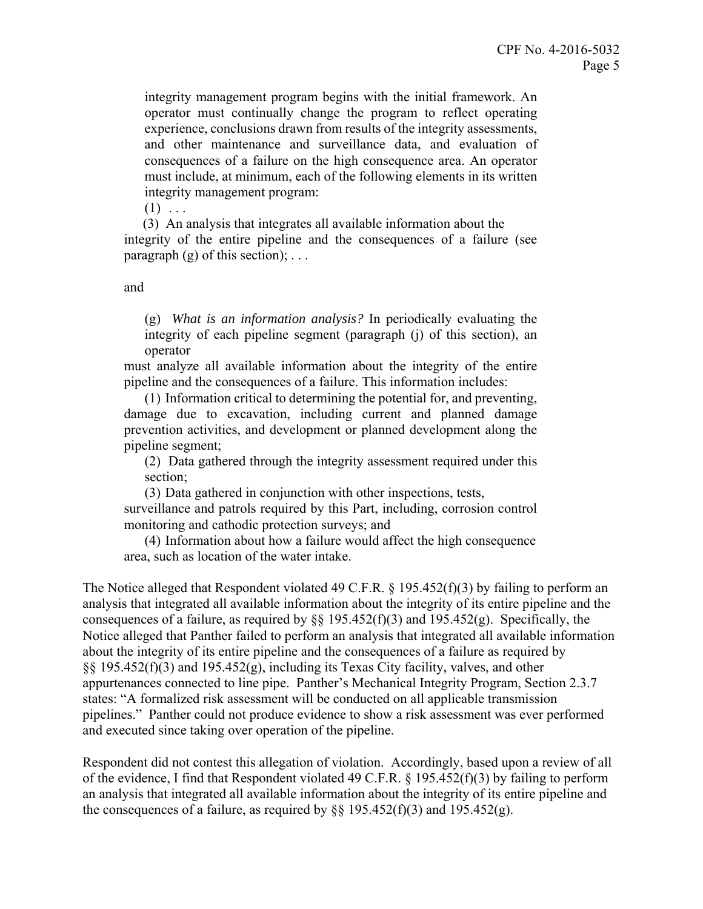integrity management program begins with the initial framework. An operator must continually change the program to reflect operating experience, conclusions drawn from results of the integrity assessments, and other maintenance and surveillance data, and evaluation of consequences of a failure on the high consequence area. An operator must include, at minimum, each of the following elements in its written integrity management program:

 $(1) \ldots$ 

 (3) An analysis that integrates all available information about the integrity of the entire pipeline and the consequences of a failure (see paragraph  $(g)$  of this section);  $\dots$ 

and

(g) *What is an information analysis?* In periodically evaluating the integrity of each pipeline segment (paragraph (j) of this section), an operator

must analyze all available information about the integrity of the entire pipeline and the consequences of a failure. This information includes:

(1) Information critical to determining the potential for, and preventing, damage due to excavation, including current and planned damage prevention activities, and development or planned development along the pipeline segment;

(2) Data gathered through the integrity assessment required under this section;

(3) Data gathered in conjunction with other inspections, tests,

surveillance and patrols required by this Part, including, corrosion control monitoring and cathodic protection surveys; and

(4) Information about how a failure would affect the high consequence area, such as location of the water intake.

The Notice alleged that Respondent violated 49 C.F.R. § 195.452(f)(3) by failing to perform an analysis that integrated all available information about the integrity of its entire pipeline and the consequences of a failure, as required by  $\S$  195.452(f)(3) and 195.452(g). Specifically, the Notice alleged that Panther failed to perform an analysis that integrated all available information about the integrity of its entire pipeline and the consequences of a failure as required by §§ 195.452(f)(3) and 195.452(g), including its Texas City facility, valves, and other appurtenances connected to line pipe. Panther's Mechanical Integrity Program, Section 2.3.7 states: "A formalized risk assessment will be conducted on all applicable transmission pipelines." Panther could not produce evidence to show a risk assessment was ever performed and executed since taking over operation of the pipeline.

Respondent did not contest this allegation of violation. Accordingly, based upon a review of all of the evidence, I find that Respondent violated 49 C.F.R. § 195.452(f)(3) by failing to perform an analysis that integrated all available information about the integrity of its entire pipeline and the consequences of a failure, as required by  $\S$ § 195.452(f)(3) and 195.452(g).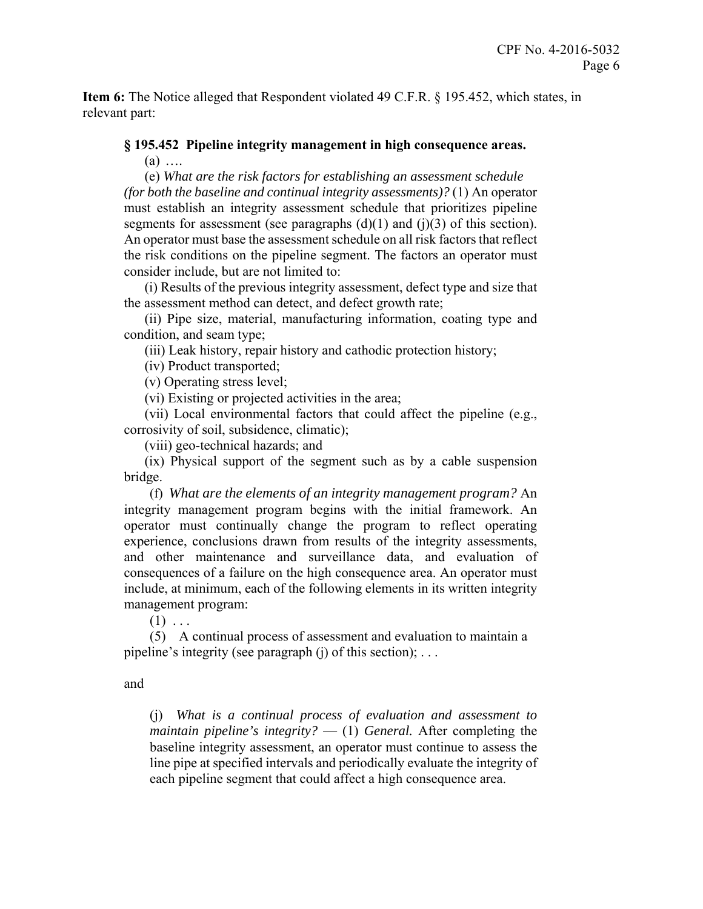**Item 6:** The Notice alleged that Respondent violated 49 C.F.R. § 195.452, which states, in relevant part:

#### **§ 195.452 Pipeline integrity management in high consequence areas.**

 $(a)$  ...

(e) *What are the risk factors for establishing an assessment schedule (for both the baseline and continual integrity assessments)?* (1) An operator must establish an integrity assessment schedule that prioritizes pipeline segments for assessment (see paragraphs  $(d)(1)$  and  $(i)(3)$  of this section). An operator must base the assessment schedule on all risk factors that reflect the risk conditions on the pipeline segment. The factors an operator must consider include, but are not limited to:

 (i) Results of the previous integrity assessment, defect type and size that the assessment method can detect, and defect growth rate;

 (ii) Pipe size, material, manufacturing information, coating type and condition, and seam type;

(iii) Leak history, repair history and cathodic protection history;

(iv) Product transported;

(v) Operating stress level;

(vi) Existing or projected activities in the area;

 (vii) Local environmental factors that could affect the pipeline (e.g., corrosivity of soil, subsidence, climatic);

(viii) geo-technical hazards; and

 (ix) Physical support of the segment such as by a cable suspension bridge.

 (f) *What are the elements of an integrity management program?* An integrity management program begins with the initial framework. An operator must continually change the program to reflect operating experience, conclusions drawn from results of the integrity assessments, and other maintenance and surveillance data, and evaluation of consequences of a failure on the high consequence area. An operator must include, at minimum, each of the following elements in its written integrity management program:

 $(1)$  ...

(5) A continual process of assessment and evaluation to maintain a pipeline's integrity (see paragraph  $(i)$  of this section); ...

and

(j) *What is a continual process of evaluation and assessment to maintain pipeline's integrity?* — (1) *General.* After completing the baseline integrity assessment, an operator must continue to assess the line pipe at specified intervals and periodically evaluate the integrity of each pipeline segment that could affect a high consequence area.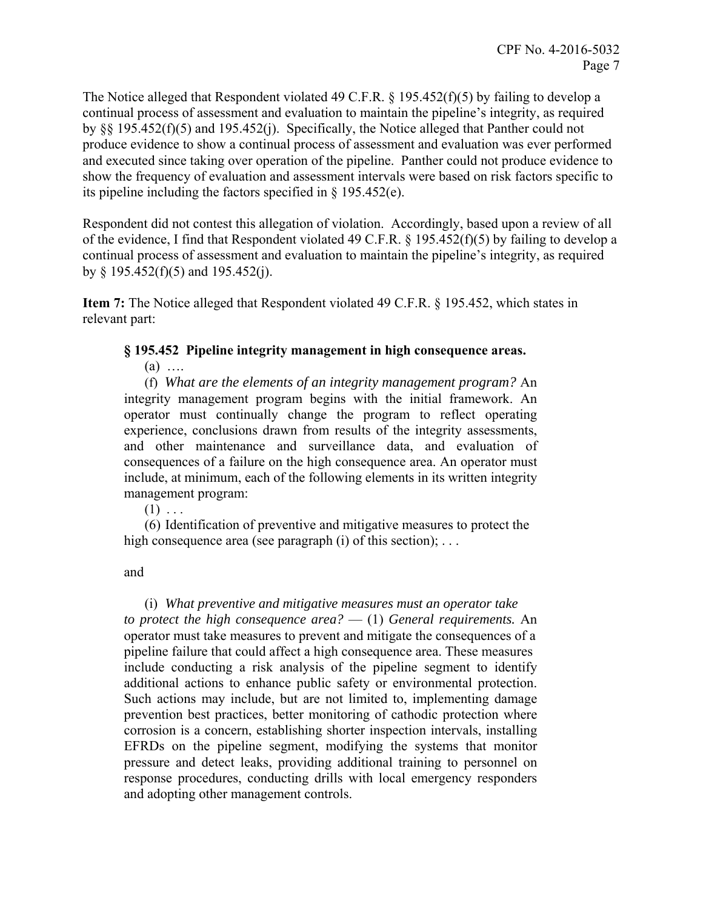The Notice alleged that Respondent violated 49 C.F.R. § 195.452(f)(5) by failing to develop a continual process of assessment and evaluation to maintain the pipeline's integrity, as required by §§ 195.452(f)(5) and 195.452(j). Specifically, the Notice alleged that Panther could not produce evidence to show a continual process of assessment and evaluation was ever performed and executed since taking over operation of the pipeline. Panther could not produce evidence to show the frequency of evaluation and assessment intervals were based on risk factors specific to its pipeline including the factors specified in § 195.452(e).

Respondent did not contest this allegation of violation. Accordingly, based upon a review of all of the evidence, I find that Respondent violated 49 C.F.R. § 195.452(f)(5) by failing to develop a continual process of assessment and evaluation to maintain the pipeline's integrity, as required by § 195.452(f)(5) and 195.452(j).

**Item 7:** The Notice alleged that Respondent violated 49 C.F.R. § 195.452, which states in relevant part:

#### **§ 195.452 Pipeline integrity management in high consequence areas.**

 $(a)$  …

(f) *What are the elements of an integrity management program?* An integrity management program begins with the initial framework. An operator must continually change the program to reflect operating experience, conclusions drawn from results of the integrity assessments, and other maintenance and surveillance data, and evaluation of consequences of a failure on the high consequence area. An operator must include, at minimum, each of the following elements in its written integrity management program:

 $(1) \ldots$ 

(6) Identification of preventive and mitigative measures to protect the high consequence area (see paragraph  $(i)$  of this section); ...

and

(i) *What preventive and mitigative measures must an operator take to protect the high consequence area?* — (1) *General requirements.* An operator must take measures to prevent and mitigate the consequences of a pipeline failure that could affect a high consequence area. These measures include conducting a risk analysis of the pipeline segment to identify additional actions to enhance public safety or environmental protection. Such actions may include, but are not limited to, implementing damage prevention best practices, better monitoring of cathodic protection where corrosion is a concern, establishing shorter inspection intervals, installing EFRDs on the pipeline segment, modifying the systems that monitor pressure and detect leaks, providing additional training to personnel on response procedures, conducting drills with local emergency responders and adopting other management controls.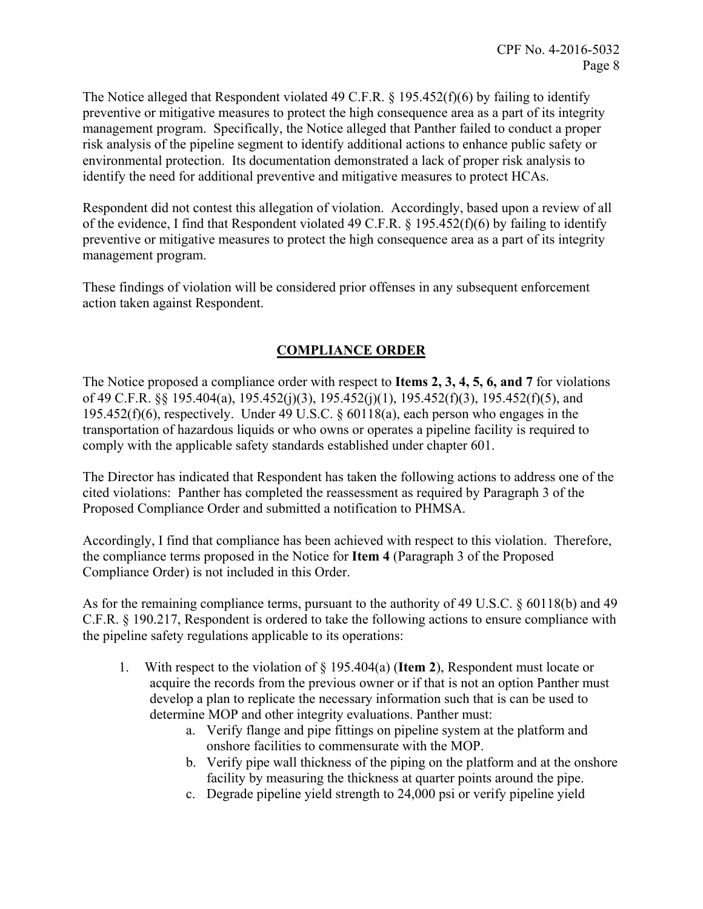The Notice alleged that Respondent violated 49 C.F.R. § 195.452(f)(6) by failing to identify preventive or mitigative measures to protect the high consequence area as a part of its integrity management program. Specifically, the Notice alleged that Panther failed to conduct a proper risk analysis of the pipeline segment to identify additional actions to enhance public safety or environmental protection. Its documentation demonstrated a lack of proper risk analysis to identify the need for additional preventive and mitigative measures to protect HCAs.

Respondent did not contest this allegation of violation. Accordingly, based upon a review of all of the evidence, I find that Respondent violated 49 C.F.R. § 195.452(f)(6) by failing to identify preventive or mitigative measures to protect the high consequence area as a part of its integrity management program.

These findings of violation will be considered prior offenses in any subsequent enforcement action taken against Respondent.

# **COMPLIANCE ORDER**

The Notice proposed a compliance order with respect to **Items 2, 3, 4, 5, 6, and 7** for violations of 49 C.F.R. §§ 195.404(a), 195.452(j)(3), 195.452(j)(1), 195.452(f)(3), 195.452(f)(5), and 195.452(f)(6), respectively. Under 49 U.S.C.  $\S$  60118(a), each person who engages in the transportation of hazardous liquids or who owns or operates a pipeline facility is required to comply with the applicable safety standards established under chapter 601.

The Director has indicated that Respondent has taken the following actions to address one of the cited violations: Panther has completed the reassessment as required by Paragraph 3 of the Proposed Compliance Order and submitted a notification to PHMSA.

Accordingly, I find that compliance has been achieved with respect to this violation. Therefore, the compliance terms proposed in the Notice for **Item 4** (Paragraph 3 of the Proposed Compliance Order) is not included in this Order.

As for the remaining compliance terms, pursuant to the authority of 49 U.S.C. § 60118(b) and 49 C.F.R. § 190.217, Respondent is ordered to take the following actions to ensure compliance with the pipeline safety regulations applicable to its operations:

- 1. With respect to the violation of § 195.404(a) (**Item 2**), Respondent must locate or acquire the records from the previous owner or if that is not an option Panther must develop a plan to replicate the necessary information such that is can be used to determine MOP and other integrity evaluations. Panther must:
	- a. Verify flange and pipe fittings on pipeline system at the platform and onshore facilities to commensurate with the MOP.
	- b. Verify pipe wall thickness of the piping on the platform and at the onshore facility by measuring the thickness at quarter points around the pipe.
	- c. Degrade pipeline yield strength to 24,000 psi or verify pipeline yield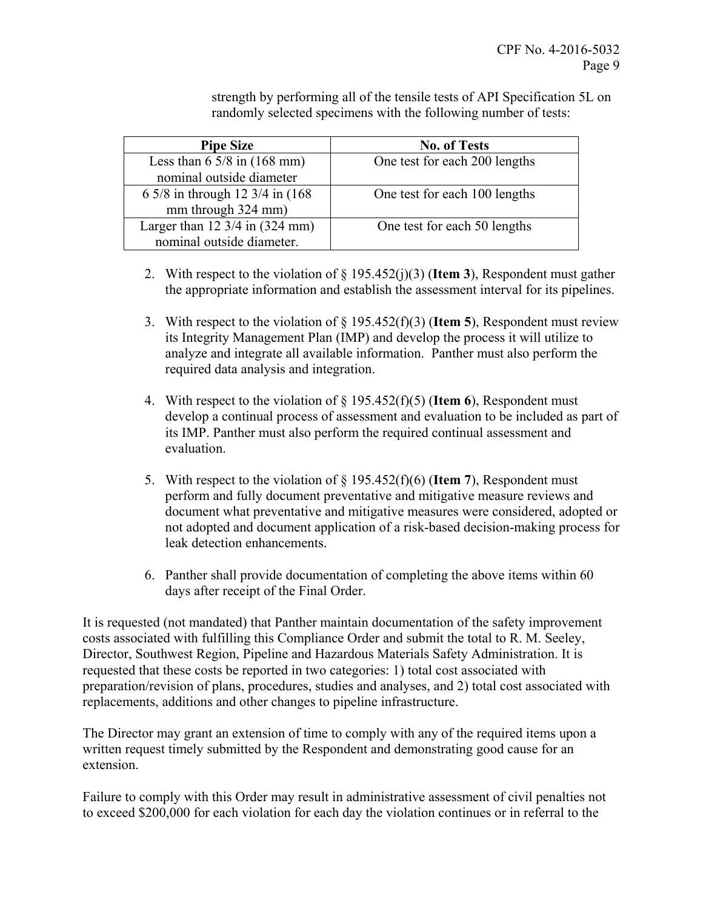strength by performing all of the tensile tests of API Specification 5L on randomly selected specimens with the following number of tests:

| <b>Pipe Size</b>                                   | <b>No. of Tests</b>           |
|----------------------------------------------------|-------------------------------|
| Less than $6\frac{5}{8}$ in $(168 \text{ mm})$     | One test for each 200 lengths |
| nominal outside diameter                           |                               |
| 6 5/8 in through 12 3/4 in (168)                   | One test for each 100 lengths |
| mm through 324 mm)                                 |                               |
| Larger than $12 \frac{3}{4}$ in $(324 \text{ mm})$ | One test for each 50 lengths  |
| nominal outside diameter.                          |                               |

- 2. With respect to the violation of § 195.452(j)(3) (**Item 3**), Respondent must gather the appropriate information and establish the assessment interval for its pipelines.
- 3. With respect to the violation of § 195.452(f)(3) (**Item 5**), Respondent must review its Integrity Management Plan (IMP) and develop the process it will utilize to analyze and integrate all available information. Panther must also perform the required data analysis and integration.
- 4. With respect to the violation of § 195.452(f)(5) (**Item 6**), Respondent must develop a continual process of assessment and evaluation to be included as part of its IMP. Panther must also perform the required continual assessment and evaluation.
- 5. With respect to the violation of § 195.452(f)(6) (**Item 7**), Respondent must perform and fully document preventative and mitigative measure reviews and document what preventative and mitigative measures were considered, adopted or not adopted and document application of a risk-based decision-making process for leak detection enhancements.
- 6. Panther shall provide documentation of completing the above items within 60 days after receipt of the Final Order.

It is requested (not mandated) that Panther maintain documentation of the safety improvement costs associated with fulfilling this Compliance Order and submit the total to R. M. Seeley, Director, Southwest Region, Pipeline and Hazardous Materials Safety Administration. It is requested that these costs be reported in two categories: 1) total cost associated with preparation/revision of plans, procedures, studies and analyses, and 2) total cost associated with replacements, additions and other changes to pipeline infrastructure.

The Director may grant an extension of time to comply with any of the required items upon a written request timely submitted by the Respondent and demonstrating good cause for an extension.

Failure to comply with this Order may result in administrative assessment of civil penalties not to exceed \$200,000 for each violation for each day the violation continues or in referral to the